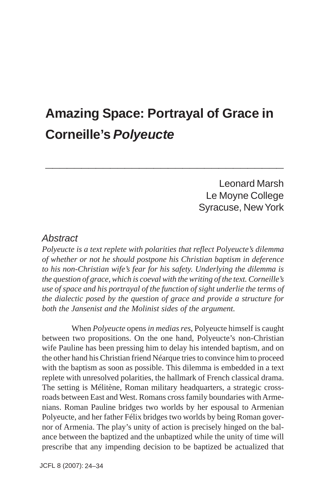# **Amazing Space: Portrayal of Grace in Corneille's** *Polyeucte*

**\_\_\_\_\_\_\_\_\_\_\_\_\_\_\_\_\_\_\_\_\_\_\_\_\_\_\_\_\_\_\_\_\_**

Leonard Marsh Le Moyne College Syracuse, New York

#### *Abstract*

*Polyeucte is a text replete with polarities that reflect Polyeucte's dilemma of whether or not he should postpone his Christian baptism in deference to his non-Christian wife's fear for his safety. Underlying the dilemma is the question of grace, which is coeval with the writing of the text. Corneille's use of space and his portrayal of the function of sight underlie the terms of the dialectic posed by the question of grace and provide a structure for both the Jansenist and the Molinist sides of the argument.*

When *Polyeucte* opens *in medias res*, Polyeucte himself is caught between two propositions. On the one hand, Polyeucte's non-Christian wife Pauline has been pressing him to delay his intended baptism, and on the other hand his Christian friend Néarque tries to convince him to proceed with the baptism as soon as possible. This dilemma is embedded in a text replete with unresolved polarities, the hallmark of French classical drama. The setting is Mélitène, Roman military headquarters, a strategic crossroads between East and West. Romans cross family boundaries with Armenians. Roman Pauline bridges two worlds by her espousal to Armenian Polyeucte, and her father Félix bridges two worlds by being Roman governor of Armenia. The play's unity of action is precisely hinged on the balance between the baptized and the unbaptized while the unity of time will prescribe that any impending decision to be baptized be actualized that

JCFL 8 (2007): 24–34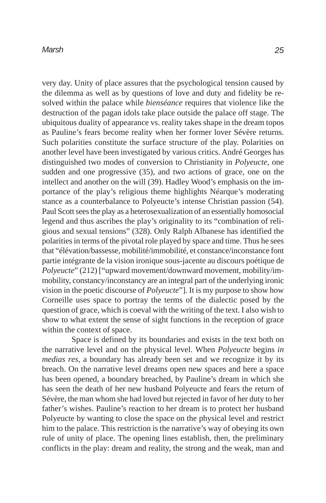#### *Marsh*

very day. Unity of place assures that the psychological tension caused by the dilemma as well as by questions of love and duty and fidelity be resolved within the palace while *bienséance* requires that violence like the destruction of the pagan idols take place outside the palace off stage. The ubiquitous duality of appearance vs. reality takes shape in the dream topos as Pauline's fears become reality when her former lover Sévère returns. Such polarities constitute the surface structure of the play. Polarities on another level have been investigated by various critics. André Georges has distinguished two modes of conversion to Christianity in *Polyeucte*, one sudden and one progressive (35), and two actions of grace, one on the intellect and another on the will (39). Hadley Wood's emphasis on the importance of the play's religious theme highlights Néarque's moderating stance as a counterbalance to Polyeucte's intense Christian passion (54). Paul Scott sees the play as a heterosexualization of an essentially homosocial legend and thus ascribes the play's originality to its "combination of religious and sexual tensions" (328). Only Ralph Albanese has identified the polarities in terms of the pivotal role played by space and time. Thus he sees that "élévation/bassesse, mobilité/immobilité, et constance/inconstance font partie intégrante de la vision ironique sous-jacente au discours poétique de *Polyeucte*" (212) ["upward movement/downward movement, mobility/immobility, constancy/inconstancy are an integral part of the underlying ironic vision in the poetic discourse of *Polyeucte*"]. It is my purpose to show how Corneille uses space to portray the terms of the dialectic posed by the question of grace, which is coeval with the writing of the text. I also wish to show to what extent the sense of sight functions in the reception of grace within the context of space.

Space is defined by its boundaries and exists in the text both on the narrative level and on the physical level. When *Polyeucte* begins *in medias res*, a boundary has already been set and we recognize it by its breach. On the narrative level dreams open new spaces and here a space has been opened, a boundary breached, by Pauline's dream in which she has seen the death of her new husband Polyeucte and fears the return of Sévère, the man whom she had loved but rejected in favor of her duty to her father's wishes. Pauline's reaction to her dream is to protect her husband Polyeucte by wanting to close the space on the physical level and restrict him to the palace. This restriction is the narrative's way of obeying its own rule of unity of place. The opening lines establish, then, the preliminary conflicts in the play: dream and reality, the strong and the weak, man and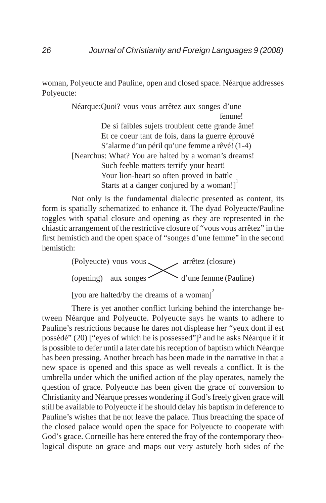woman, Polyeucte and Pauline, open and closed space. Néarque addresses Polyeucte:

> Néarque:Quoi? vous vous arrêtez aux songes d'une femme! De si faibles sujets troublent cette grande âme! Et ce coeur tant de fois, dans la guerre éprouvé S'alarme d'un péril qu'une femme a rêvé! (1-4) [Nearchus: What? You are halted by a woman's dreams! Such feeble matters terrify your heart! Your lion-heart so often proved in battle Starts at a danger conjured by a woman!]

Not only is the fundamental dialectic presented as content, its form is spatially schematized to enhance it. The dyad Polyeucte/Pauline toggles with spatial closure and opening as they are represented in the chiastic arrangement of the restrictive closure of "vous vous arrêtez" in the first hemistich and the open space of "songes d'une femme" in the second hemistich:

> (Polyeucte) vous vous arrêtez (closure) (opening) aux songes d'une femme (Pauline)

[you are halted/by the dreams of a woman]<sup>2</sup>

There is yet another conflict lurking behind the interchange between Néarque and Polyeucte. Polyeucte says he wants to adhere to Pauline's restrictions because he dares not displease her "yeux dont il est possédé" (20) ["eyes of which he is possessed"]<sup>3</sup> and he asks Néarque if it is possible to defer until a later date his reception of baptism which Néarque has been pressing. Another breach has been made in the narrative in that a new space is opened and this space as well reveals a conflict. It is the umbrella under which the unified action of the play operates, namely the question of grace. Polyeucte has been given the grace of conversion to Christianity and Néarque presses wondering if God's freely given grace will still be available to Polyeucte if he should delay his baptism in deference to Pauline's wishes that he not leave the palace. Thus breaching the space of the closed palace would open the space for Polyeucte to cooperate with God's grace. Corneille has here entered the fray of the contemporary theological dispute on grace and maps out very astutely both sides of the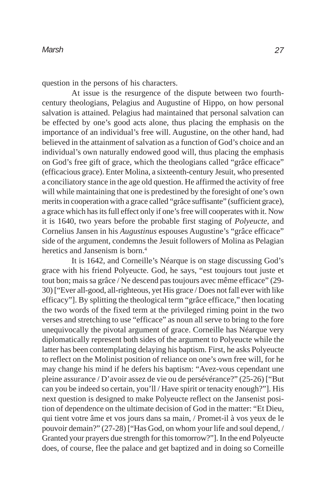question in the persons of his characters.

At issue is the resurgence of the dispute between two fourthcentury theologians, Pelagius and Augustine of Hippo, on how personal salvation is attained. Pelagius had maintained that personal salvation can be effected by one's good acts alone, thus placing the emphasis on the importance of an individual's free will. Augustine, on the other hand, had believed in the attainment of salvation as a function of God's choice and an individual's own naturally endowed good will, thus placing the emphasis on God's free gift of grace, which the theologians called "grâce efficace" (efficacious grace). Enter Molina, a sixteenth-century Jesuit, who presented a conciliatory stance in the age old question. He affirmed the activity of free will while maintaining that one is predestined by the foresight of one's own merits in cooperation with a grace called "grâce suffisante" (sufficient grace), a grace which has its full effect only if one's free will cooperates with it. Now it is 1640, two years before the probable first staging of *Polyeucte*, and Cornelius Jansen in his *Augustinus* espouses Augustine's "grâce efficace" side of the argument, condemns the Jesuit followers of Molina as Pelagian heretics and Jansenism is born.<sup>4</sup>

It is 1642, and Corneille's Néarque is on stage discussing God's grace with his friend Polyeucte. God, he says, "est toujours tout juste et tout bon; mais sa grâce / Ne descend pas toujours avec même efficace" (29- 30) ["Ever all-good, all-righteous, yet His grace / Does not fall ever with like efficacy"]. By splitting the theological term "grâce efficace," then locating the two words of the fixed term at the privileged riming point in the two verses and stretching to use "efficace" as noun all serve to bring to the fore unequivocally the pivotal argument of grace. Corneille has Néarque very diplomatically represent both sides of the argument to Polyeucte while the latter has been contemplating delaying his baptism. First, he asks Polyeucte to reflect on the Molinist position of reliance on one's own free will, for he may change his mind if he defers his baptism: "Avez-vous cependant une pleine assurance / D'avoir assez de vie ou de persévérance?" (25-26) ["But can you be indeed so certain, you'll / Have spirit or tenacity enough?"]. His next question is designed to make Polyeucte reflect on the Jansenist position of dependence on the ultimate decision of God in the matter: "Et Dieu, qui tient votre âme et vos jours dans sa main, / Promet-il à vos yeux de le pouvoir demain?" (27-28) ["Has God, on whom your life and soul depend, / Granted your prayers due strength for this tomorrow?"]. In the end Polyeucte does, of course, flee the palace and get baptized and in doing so Corneille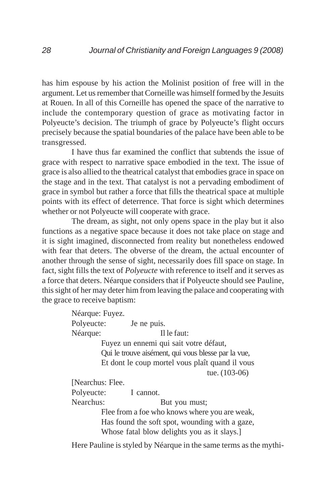has him espouse by his action the Molinist position of free will in the argument. Let us remember that Corneille was himself formed by the Jesuits at Rouen. In all of this Corneille has opened the space of the narrative to include the contemporary question of grace as motivating factor in Polyeucte's decision. The triumph of grace by Polyeucte's flight occurs precisely because the spatial boundaries of the palace have been able to be transgressed.

I have thus far examined the conflict that subtends the issue of grace with respect to narrative space embodied in the text. The issue of grace is also allied to the theatrical catalyst that embodies grace in space on the stage and in the text. That catalyst is not a pervading embodiment of grace in symbol but rather a force that fills the theatrical space at multiple points with its effect of deterrence. That force is sight which determines whether or not Polyeucte will cooperate with grace.

The dream, as sight, not only opens space in the play but it also functions as a negative space because it does not take place on stage and it is sight imagined, disconnected from reality but nonetheless endowed with fear that deters. The obverse of the dream, the actual encounter of another through the sense of sight, necessarily does fill space on stage. In fact, sight fills the text of *Polyeucte* with reference to itself and it serves as a force that deters. Néarque considers that if Polyeucte should see Pauline, this sight of her may deter him from leaving the palace and cooperating with the grace to receive baptism:

> Néarque: Fuyez. Polyeucte: Je ne puis. Néarque: Il le faut: Fuyez un ennemi qui sait votre défaut, Qui le trouve aisément, qui vous blesse par la vue, Et dont le coup mortel vous plaît quand il vous tue. (103-06) [Nearchus: Flee. Polyeucte: I cannot. Nearchus: But you must; Flee from a foe who knows where you are weak, Has found the soft spot, wounding with a gaze, Whose fatal blow delights you as it slays.]

Here Pauline is styled by Néarque in the same terms as the mythi-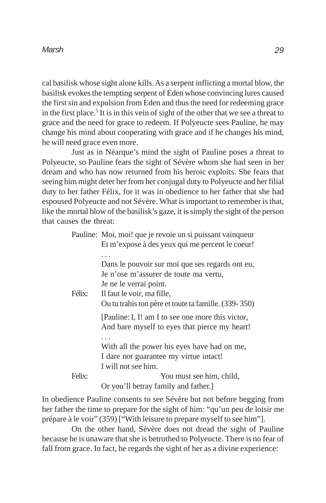#### *Marsh*

cal basilisk whose sight alone kills. As a serpent inflicting a mortal blow, the basilisk evokes the tempting serpent of Eden whose convincing lures caused the first sin and expulsion from Eden and thus the need for redeeming grace in the first place.<sup>5</sup> It is in this vein of sight of the other that we see a threat to grace and the need for grace to redeem. If Polyeucte sees Pauline, he may change his mind about cooperating with grace and if he changes his mind, he will need grace even more.

Just as in Néarque's mind the sight of Pauline poses a threat to Polyeucte, so Pauline fears the sight of Sévère whom she had seen in her dream and who has now returned from his heroic exploits. She fears that seeing him might deter her from her conjugal duty to Polyeucte and her filial duty to her father Félix, for it was in obedience to her father that she had espoused Polyeucte and not Sévère. What is important to remember is that, like the mortal blow of the basilisk's gaze, it is simply the sight of the person that causes the threat:

|        | Pauline: Moi, moi! que je revoie un si puissant vainqueur                                          |
|--------|----------------------------------------------------------------------------------------------------|
|        | Et m'expose à des yeux qui me percent le coeur!                                                    |
|        |                                                                                                    |
|        | Dans le pouvoir sur moi que ses regards ont eu,                                                    |
|        | Je n'ose m'assurer de toute ma vertu,                                                              |
|        | Je ne le verrai point.                                                                             |
| Félix: | Il faut le voir, ma fille,                                                                         |
|        | Ou tu trahis ton père et toute ta famille. (339-350)                                               |
|        | [Pauline: I, I! am I to see one more this victor,<br>And bare myself to eyes that pierce my heart! |
|        |                                                                                                    |
|        | With all the power his eyes have had on me,                                                        |
|        | I dare not guarantee my virtue intact!                                                             |
|        | I will not see him.                                                                                |
| Felix: | You must see him, child,                                                                           |
|        | Or you'll betray family and father.]                                                               |

In obedience Pauline consents to see Sévère but not before begging from her father the time to prepare for the sight of him: "qu'un peu de loisir me prépare à le voir" (359) ["With leisure to prepare myself to see him"].

On the other hand, Sévère does not dread the sight of Pauline because he is unaware that she is betrothed to Polyeucte. There is no fear of fall from grace. In fact, he regards the sight of her as a divine experience: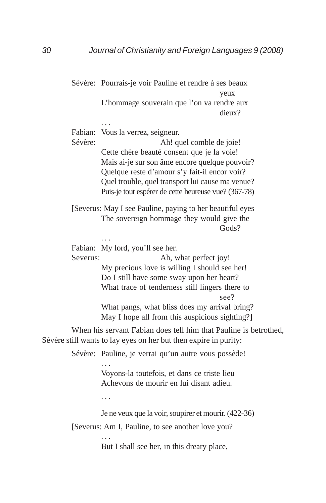Sévère: Pourrais-je voir Pauline et rendre à ses beaux yeux L'hommage souverain que l'on va rendre aux dieux?

Fabian: Vous la verrez, seigneur.

. . .

Sévère: Ah! quel comble de joie! Cette chère beauté consent que je la voie! Mais ai-je sur son âme encore quelque pouvoir? Quelque reste d'amour s'y fait-il encor voir? Quel trouble, quel transport lui cause ma venue? Puis-je tout espérer de cette heureuse vue? (367-78)

[Severus: May I see Pauline, paying to her beautiful eyes The sovereign hommage they would give the Gods?

Fabian: My lord, you'll see her.

. . .

Severus: Ah, what perfect joy! My precious love is willing I should see her! Do I still have some sway upon her heart? What trace of tenderness still lingers there to see?

What pangs, what bliss does my arrival bring? May I hope all from this auspicious sighting?]

When his servant Fabian does tell him that Pauline is betrothed, Sévère still wants to lay eyes on her but then expire in purity:

Sévère: Pauline, je verrai qu'un autre vous possède!

Voyons-la toutefois, et dans ce triste lieu Achevons de mourir en lui disant adieu.

. . .

. . .

Je ne veux que la voir, soupirer et mourir. (422-36)

[Severus: Am I, Pauline, to see another love you?

But I shall see her, in this dreary place,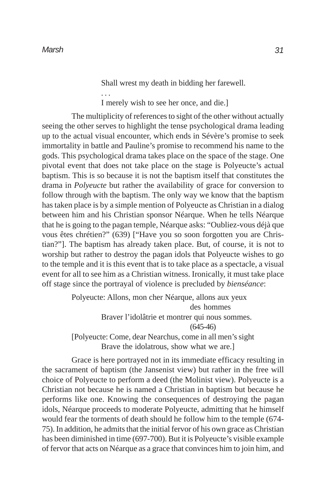Shall wrest my death in bidding her farewell. . . . I merely wish to see her once, and die.]

The multiplicity of references to sight of the other without actually seeing the other serves to highlight the tense psychological drama leading up to the actual visual encounter, which ends in Sévère's promise to seek immortality in battle and Pauline's promise to recommend his name to the gods. This psychological drama takes place on the space of the stage. One pivotal event that does not take place on the stage is Polyeucte's actual baptism. This is so because it is not the baptism itself that constitutes the drama in *Polyeucte* but rather the availability of grace for conversion to follow through with the baptism. The only way we know that the baptism has taken place is by a simple mention of Polyeucte as Christian in a dialog between him and his Christian sponsor Néarque. When he tells Néarque that he is going to the pagan temple, Néarque asks: "Oubliez-vous déjà que vous êtes chrétien?" (639) ["Have you so soon forgotten you are Christian?"]. The baptism has already taken place. But, of course, it is not to worship but rather to destroy the pagan idols that Polyeucte wishes to go to the temple and it is this event that is to take place as a spectacle, a visual event for all to see him as a Christian witness. Ironically, it must take place off stage since the portrayal of violence is precluded by *bienséance*:

> Polyeucte: Allons, mon cher Néarque, allons aux yeux des hommes Braver l'idolâtrie et montrer qui nous sommes. (645-46) [Polyeucte: Come, dear Nearchus, come in all men's sight Brave the idolatrous, show what we are.]

Grace is here portrayed not in its immediate efficacy resulting in the sacrament of baptism (the Jansenist view) but rather in the free will choice of Polyeucte to perform a deed (the Molinist view). Polyeucte is a Christian not because he is named a Christian in baptism but because he performs like one. Knowing the consequences of destroying the pagan idols, Néarque proceeds to moderate Polyeucte, admitting that he himself would fear the torments of death should he follow him to the temple (674- 75). In addition, he admits that the initial fervor of his own grace as Christian has been diminished in time (697-700). But it is Polyeucte's visible example of fervor that acts on Néarque as a grace that convinces him to join him, and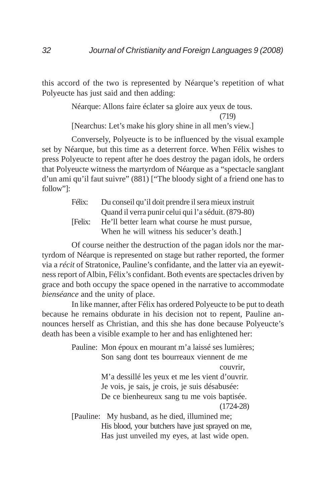this accord of the two is represented by Néarque's repetition of what Polyeucte has just said and then adding:

Néarque: Allons faire éclater sa gloire aux yeux de tous.

(719)

[Nearchus: Let's make his glory shine in all men's view.]

Conversely, Polyeucte is to be influenced by the visual example set by Néarque, but this time as a deterrent force. When Félix wishes to press Polyeucte to repent after he does destroy the pagan idols, he orders that Polyeucte witness the martyrdom of Néarque as a "spectacle sanglant d'un ami qu'il faut suivre" (881) ["The bloody sight of a friend one has to follow"]:

> Félix: Du conseil qu'il doit prendre il sera mieux instruit Quand il verra punir celui qui l'a séduit. (879-80) [Felix: He'll better learn what course he must pursue, When he will witness his seducer's death.

Of course neither the destruction of the pagan idols nor the martyrdom of Néarque is represented on stage but rather reported, the former via a *récit* of Stratonice, Pauline's confidante, and the latter via an eyewitness report of Albin, Félix's confidant. Both events are spectacles driven by grace and both occupy the space opened in the narrative to accommodate *bienséance* and the unity of place.

In like manner, after Félix has ordered Polyeucte to be put to death because he remains obdurate in his decision not to repent, Pauline announces herself as Christian, and this she has done because Polyeucte's death has been a visible example to her and has enlightened her:

> Pauline: Mon époux en mourant m'a laissé ses lumières; Son sang dont tes bourreaux viennent de me couvrir, M'a dessillé les yeux et me les vient d'ouvrir. Je vois, je sais, je crois, je suis désabusée: De ce bienheureux sang tu me vois baptisée. (1724-28) [Pauline: My husband, as he died, illumined me; His blood, your butchers have just sprayed on me, Has just unveiled my eyes, at last wide open.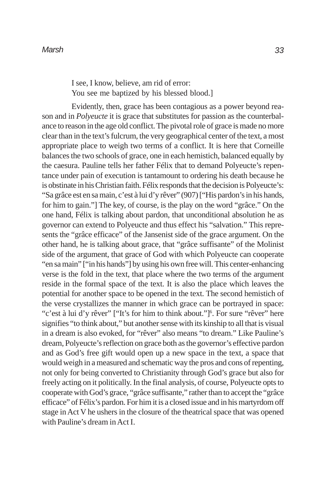I see, I know, believe, am rid of error: You see me baptized by his blessed blood.]

Evidently, then, grace has been contagious as a power beyond reason and in *Polyeucte* it is grace that substitutes for passion as the counterbalance to reason in the age old conflict. The pivotal role of grace is made no more clear than in the text's fulcrum, the very geographical center of the text, a most appropriate place to weigh two terms of a conflict. It is here that Corneille balances the two schools of grace, one in each hemistich, balanced equally by the caesura. Pauline tells her father Félix that to demand Polyeucte's repentance under pain of execution is tantamount to ordering his death because he is obstinate in his Christian faith. Félix responds that the decision is Polyeucte's: "Sa grâce est en sa main, c'est à lui d'y rêver" (907) ["His pardon's in his hands, for him to gain."] The key, of course, is the play on the word "grâce." On the one hand, Félix is talking about pardon, that unconditional absolution he as governor can extend to Polyeucte and thus effect his "salvation." This represents the "grâce efficace" of the Jansenist side of the grace argument. On the other hand, he is talking about grace, that "grâce suffisante" of the Molinist side of the argument, that grace of God with which Polyeucte can cooperate "en sa main" ["in his hands"] by using his own free will. This center-enhancing verse is the fold in the text, that place where the two terms of the argument reside in the formal space of the text. It is also the place which leaves the potential for another space to be opened in the text. The second hemistich of the verse crystallizes the manner in which grace can be portrayed in space: "c'est à lui d'y rêver" ["It's for him to think about."]<sup>6</sup>. For sure "rêver" here signifies "to think about," but another sense with its kinship to all that is visual in a dream is also evoked, for "rêver" also means "to dream." Like Pauline's dream, Polyeucte's reflection on grace both as the governor's effective pardon and as God's free gift would open up a new space in the text, a space that would weigh in a measured and schematic way the pros and cons of repenting, not only for being converted to Christianity through God's grace but also for freely acting on it politically. In the final analysis, of course, Polyeucte opts to cooperate with God's grace, "grâce suffisante," rather than to accept the "grâce efficace" of Félix's pardon. For him it is a closed issue and in his martyrdom off stage in Act V he ushers in the closure of the theatrical space that was opened with Pauline's dream in Act I.